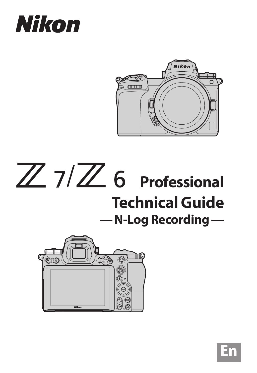# Nikon







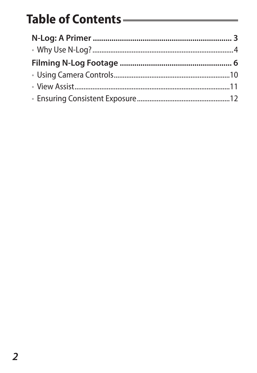# Table of Contents ——————————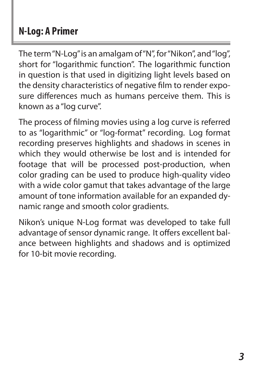# <span id="page-2-0"></span>**N‑Log: A Primer**

The term "N‑Log" is an amalgam of "N", for "Nikon", and "log", short for "logarithmic function". The logarithmic function in question is that used in digitizing light levels based on the density characteristics of negative film to render exposure differences much as humans perceive them. This is known as a "log curve".

The process of filming movies using a log curve is referred to as "logarithmic" or "log-format" recording. Log format recording preserves highlights and shadows in scenes in which they would otherwise be lost and is intended for footage that will be processed post-production, when color grading can be used to produce high-quality video with a wide color gamut that takes advantage of the large amount of tone information available for an expanded dynamic range and smooth color gradients.

Nikon's unique N-Log format was developed to take full advantage of sensor dynamic range. It offers excellent balance between highlights and shadows and is optimized for 10-bit movie recording.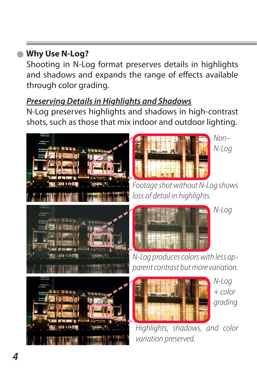# <span id="page-3-0"></span>**Why Use N-Log?** l

Shooting in N‑Log format preserves details in highlights and shadows and expands the range of effects available through color aradina.

### *Preserving Details in Highlights and Shadows*

N‑Log preserves highlights and shadows in high-contrast shots, such as those that mix indoor and outdoor lighting.





*Non– N‑Log*

*N‑Log*



*Footage shot without N-Log shows loss of detail in highlights.*



*N-Log produces colors with less ap‑ parent contrast but more variation.*



*N‑Log + color grading*

*Highlights, shadows, and color variation preserved.*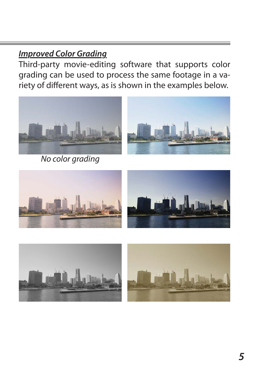### *Improved Color Grading*

Third-party movie-editing software that supports color grading can be used to process the same footage in a variety of different ways, as is shown in the examples below.



*No color grading*





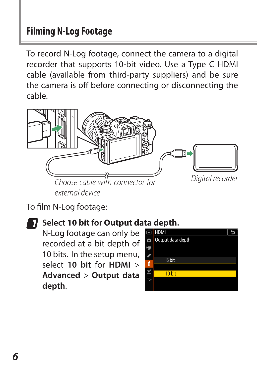# <span id="page-5-0"></span>**Filming N‑Log Footage**

To record N‑Log footage, connect the camera to a digital recorder that supports 10-bit video. Use a Type C HDMI cable (available from third-party suppliers) and be sure the camera is off before connecting or disconnecting the cable.



To film N‑Log footage:

# *1* **Select 10 bit for Output data depth.**

N‑Log footage can only be recorded at a bit depth of 10 bits. In the setup menu, select **10 bit** for **HDMI** > **Advanced** > **Output data depth**.

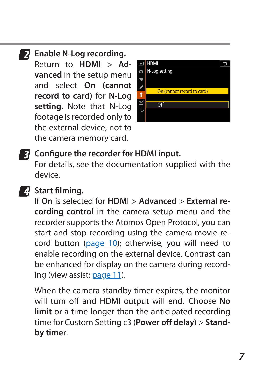*2* **Enable N‑Log recording.** Return to **HDMI** > **Ad‑ vanced** in the setup menu and select **On (cannot record to card)** for **N‑Log setting**. Note that N-Log footage is recorded only to the external device, not to the camera memory card.



*3* **Configure the recorder for HDMI input.** For details, see the documentation supplied with the device.

# *4* **Start filming.**

If **On** is selected for **HDMI** > **Advanced** > **External re‑ cording control** in the camera setup menu and the recorder supports the Atomos Open Protocol, you can start and stop recording using the camera movie-re-cord button [\(page 10\)](#page-9-1); otherwise, you will need to enable recording on the external device. Contrast can be enhanced for display on the camera during recording (view assist; [page 11](#page-10-1)).

When the camera standby timer expires, the monitor will turn off and HDMI output will end. Choose **No limit** or a time longer than the anticipated recording time for Custom Setting c3 (**Power off delay**) > **Stand‑ by timer**.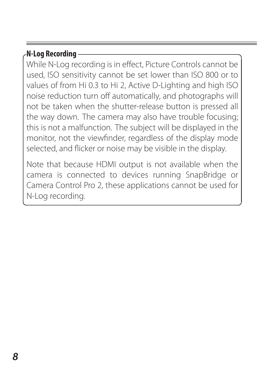### **N‑Log Recording**

While N‑Log recording is in effect, Picture Controls cannot be used, ISO sensitivity cannot be set lower than ISO 800 or to values of from Hi 0.3 to Hi 2, Active D‑Lighting and high ISO noise reduction turn off automatically, and photographs will not be taken when the shutter-release button is pressed all the way down. The camera may also have trouble focusing; this is not a malfunction. The subject will be displayed in the monitor, not the viewfinder, regardless of the display mode selected, and flicker or noise may be visible in the display.

Note that because HDMI output is not available when the camera is connected to devices running SnapBridge or Camera Control Pro 2, these applications cannot be used for N-Log recording.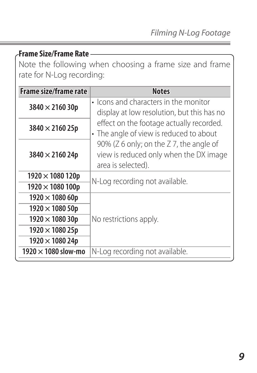**Frame Size/Frame Rate**

Note the following when choosing a frame size and frame rate for N-Log recording:

| Frame size/frame rate      | <b>Notes</b>                                                                                                                                                                                   |  |
|----------------------------|------------------------------------------------------------------------------------------------------------------------------------------------------------------------------------------------|--|
| $3840 \times 216030p$      | • Icons and characters in the monitor<br>display at low resolution, but this has no                                                                                                            |  |
| $3840 \times 216025p$      | effect on the footage actually recorded.<br>• The angle of view is reduced to about<br>90% (Z 6 only; on the Z 7, the angle of<br>view is reduced only when the DX image<br>area is selected). |  |
| $3840 \times 216024p$      |                                                                                                                                                                                                |  |
| $1920 \times 1080$ 120p    | N-Log recording not available.                                                                                                                                                                 |  |
| $1920 \times 1080 100p$    |                                                                                                                                                                                                |  |
| $1920 \times 108060p$      |                                                                                                                                                                                                |  |
| $1920 \times 108050p$      | No restrictions apply.                                                                                                                                                                         |  |
| $1920 \times 108030p$      |                                                                                                                                                                                                |  |
| $1920 \times 108025p$      |                                                                                                                                                                                                |  |
| $1920 \times 108024p$      |                                                                                                                                                                                                |  |
| 1920 $\times$ 1080 slow-mo | N-Log recording not available.                                                                                                                                                                 |  |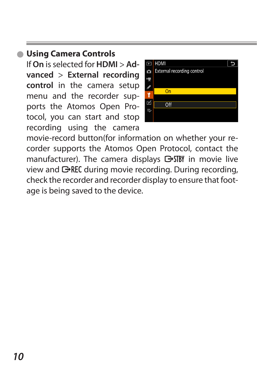# <span id="page-9-1"></span><span id="page-9-0"></span>**Using Camera Controls** l

If **On** is selected for **HDMI** > **Ad‑ vanced** > **External recording control** in the camera setup menu and the recorder supports the Atomos Open Protocol, you can start and stop recording using the camera



movie-record button(for information on whether your re‑ corder supports the Atomos Open Protocol, contact the manufacturer). The camera displays **C**STBY in movie live view and GREC during movie recording. During recording, check the recorder and recorder display to ensure that footage is being saved to the device.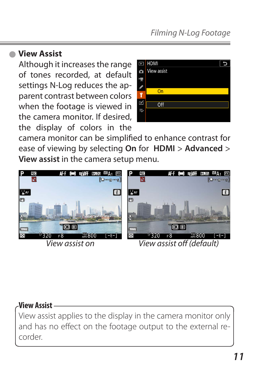### <span id="page-10-1"></span><span id="page-10-0"></span>**View Assist**  $\bullet$

Although it increases the range of tones recorded, at default settings N-Log reduces the apparent contrast between colors when the footage is viewed in the camera monitor. If desired, the display of colors in the



camera monitor can be simplified to enhance contrast for ease of viewing by selecting **On** for **HDMI** > **Advanced** > **View assist** in the camera setup menu.



### **View Assist**

View assist applies to the display in the camera monitor only and has no effect on the footage output to the external recorder.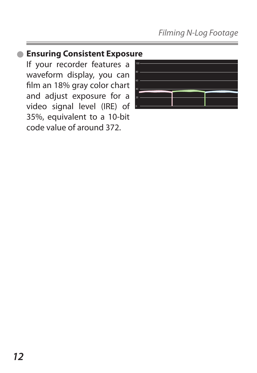# <span id="page-11-0"></span>**Ensuring Consistent Exposure** l

If your recorder features a waveform display, you can film an 18% gray color chart and adjust exposure for a video signal level (IRE) of 35%, equivalent to a 10-bit code value of around 372.

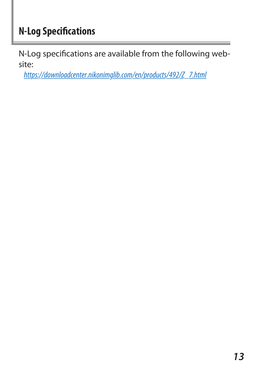# **N‑Log Specifications**

N-Log specifications are available from the following website:

*https://downloadcenter.nikonimglib.com/en/products/492/Z\_7.html*